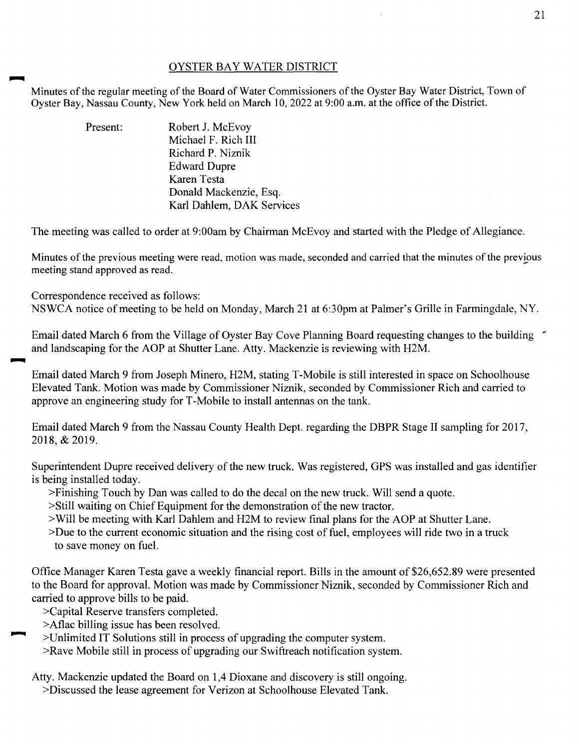## OYSTER BAY WATER DISTRICT

Minutes of the regular meeting of the Board of Water Commissioners of the Oyster Bay Water District, Town of Oyster Bay, Nassau County, New York held on March 10,2022 at 9:00a.m. at the office of the District.

> Present: Robert J. McEvoy Michael F. Rich III Richard P. Niznik Edward Dupre Karen Testa Donald Mackenzie, Esq. Karl Dahlem, DAK Services

The meeting was called to order at 9:00am by Chairman McEvoy and started with the Pledge of Allegiance.

Minutes of the previous meeting were read, motion was made, seconded and carried that the minutes of the previous meeting stand approved as read.

Correspondence received as follows:

NSWCA notice of meeting to be held on Monday, March 21 at 6:30pm at Palmer's Grille in Farmingdale, NY.

Email dated March 6 from the Village of Oyster Bay Cove Planning Board requesting changes to the building " and landscaping for the AOP at Shutter Lane. Atty. Mackenzie is reviewing with H2M.

Email dated March 9 from Joseph Minero, H2M, stating T-Mobile is still interested in space on Schoolhouse Elevated Tank. Motion was made by Commissioner Niznik, seconded by Commissioner Rich and carried to approve an engineering study forT-Mobile to install antennas on the tank.

Email dated March 9 from the Nassau County Health Dept. regarding the DBPR Stage II sampling for 2017, 2018,&2019.

Superintendent Dupre received delivery of the new truck. Was registered, GPS was installed and gas identifier is being installed today.

>Finishing Touch by Dan was called to do the decal on the new truck. Will send a quote.

- >Still waiting on Chief Equipment for the demonstration of the new tractor.
- >Will be meeting with Karl Dahlem and H2M to review final plans for the AOP at Shutter Lane.

>Due to the current economic situation and the rising cost of fuel, employees will ride two in a truck to save money on fuel.

Office Manager Karen Testa gave a weekly financial report. Bills in the amount of \$26,652.89 were presented to the Board for approval. Motion was made by Commissioner Niznik, seconded by Commissioner Rich and carried to approve bills to be paid.

>Capital Reserve transfers completed.

>Aflac billing issue has been resolved.

>Unlimited IT Solutions still in process of upgrading the computer system.

>Rave Mobile still in process of upgrading our Swiftreach notification system.

Atty. Mackenzie updated the Board on 1,4 Dioxane and discovery is still ongoing.

>Discussed the lease agreement for Verizon at Schoolhouse Elevated Tank.